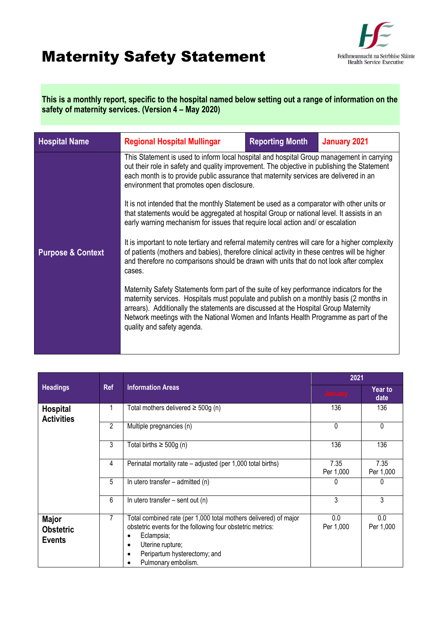## Maternity Safety Statement



**This is a monthly report, specific to the hospital named below setting out a range of information on the safety of maternity services. (Version 4 – May 2020)**

| <b>Hospital Name</b>                                                                                                                                                                                                                                                                                                                   | <b>Regional Hospital Mullingar</b>                                                                                                                                                                                                                                                                                                                                                               | <b>Reporting Month</b> | <b>January 2021</b> |  |
|----------------------------------------------------------------------------------------------------------------------------------------------------------------------------------------------------------------------------------------------------------------------------------------------------------------------------------------|--------------------------------------------------------------------------------------------------------------------------------------------------------------------------------------------------------------------------------------------------------------------------------------------------------------------------------------------------------------------------------------------------|------------------------|---------------------|--|
|                                                                                                                                                                                                                                                                                                                                        | This Statement is used to inform local hospital and hospital Group management in carrying<br>out their role in safety and quality improvement. The objective in publishing the Statement<br>each month is to provide public assurance that maternity services are delivered in an<br>environment that promotes open disclosure.                                                                  |                        |                     |  |
|                                                                                                                                                                                                                                                                                                                                        | It is not intended that the monthly Statement be used as a comparator with other units or<br>that statements would be aggregated at hospital Group or national level. It assists in an<br>early warning mechanism for issues that require local action and/ or escalation                                                                                                                        |                        |                     |  |
| It is important to note tertiary and referral maternity centres will care for a higher complexity<br>of patients (mothers and babies), therefore clinical activity in these centres will be higher<br><b>Purpose &amp; Context</b><br>and therefore no comparisons should be drawn with units that do not look after complex<br>cases. |                                                                                                                                                                                                                                                                                                                                                                                                  |                        |                     |  |
|                                                                                                                                                                                                                                                                                                                                        | Maternity Safety Statements form part of the suite of key performance indicators for the<br>maternity services. Hospitals must populate and publish on a monthly basis (2 months in<br>arrears). Additionally the statements are discussed at the Hospital Group Maternity<br>Network meetings with the National Women and Infants Health Programme as part of the<br>quality and safety agenda. |                        |                     |  |
|                                                                                                                                                                                                                                                                                                                                        |                                                                                                                                                                                                                                                                                                                                                                                                  |                        |                     |  |

|                                                   | <b>Ref</b> | <b>Information Areas</b>                                                                                                                                                                                                                          | 2021              |                   |
|---------------------------------------------------|------------|---------------------------------------------------------------------------------------------------------------------------------------------------------------------------------------------------------------------------------------------------|-------------------|-------------------|
| <b>Headings</b>                                   |            |                                                                                                                                                                                                                                                   | <b>January</b>    | Year to<br>date   |
| <b>Hospital</b><br><b>Activities</b>              |            | Total mothers delivered $\geq$ 500g (n)                                                                                                                                                                                                           | 136               | 136               |
|                                                   | 2          | Multiple pregnancies (n)                                                                                                                                                                                                                          | $\theta$          | 0                 |
|                                                   | 3          | Total births $\geq 500g$ (n)                                                                                                                                                                                                                      | 136               | 136               |
|                                                   | 4          | Perinatal mortality rate – adjusted (per 1,000 total births)                                                                                                                                                                                      | 7.35<br>Per 1,000 | 7.35<br>Per 1,000 |
|                                                   | 5          | In utero transfer $-$ admitted (n)                                                                                                                                                                                                                | 0                 | 0                 |
|                                                   | 6          | In utero transfer $-$ sent out (n)                                                                                                                                                                                                                | 3                 | 3                 |
| <b>Major</b><br><b>Obstetric</b><br><b>Events</b> | 7          | Total combined rate (per 1,000 total mothers delivered) of major<br>obstetric events for the following four obstetric metrics:<br>Eclampsia;<br>$\bullet$<br>Uterine rupture;<br>$\bullet$<br>Peripartum hysterectomy; and<br>Pulmonary embolism. | 0.0<br>Per 1,000  | 0.0<br>Per 1,000  |